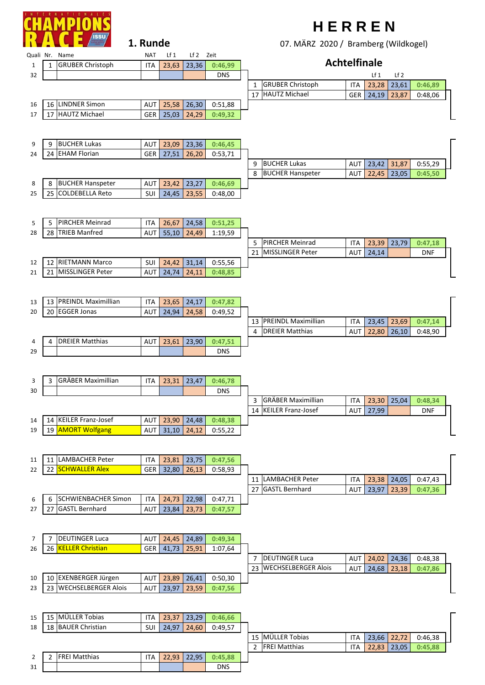

## **1. Runde**

31 | | | | | DNS

## **H E R R E N**

07. MÄRZ 2020 / Bramberg (Wildkogel)

|    |                 |                            |            |       |               |            |                     | 07. IVIAILE 2020 / DIGITIOCI 8 (VVIIGNOBCI) |            |           |                 |            |   |
|----|-----------------|----------------------------|------------|-------|---------------|------------|---------------------|---------------------------------------------|------------|-----------|-----------------|------------|---|
|    |                 | Quali Nr. Name             | <b>NAT</b> | Lf 1  | Lf 2 Zeit     |            |                     |                                             |            |           |                 |            |   |
| 1  | 1               | <b>GRUBER Christoph</b>    | <b>ITA</b> | 23,63 | 23,36         | 0:46,99    | <b>Achtelfinale</b> |                                             |            |           |                 |            |   |
| 32 |                 |                            |            |       |               | <b>DNS</b> |                     |                                             |            | $Lf_1$    | Lf <sub>2</sub> |            |   |
|    |                 |                            |            |       |               |            | $\mathbf{1}$        | <b>GRUBER Christoph</b>                     | ITA        | 23,28     | 23,61           | 0:46,89    |   |
|    |                 |                            |            |       |               |            | 17                  | <b>HAUTZ Michael</b>                        | <b>GER</b> | 24,19     | 23,87           | 0:48,06    |   |
| 16 | 16 <sup>1</sup> | <b>LINDNER Simon</b>       | AUT        | 25,58 | 26,30         | 0:51,88    |                     |                                             |            |           |                 |            |   |
| 17 | 17              | <b>HAUTZ Michael</b>       | GER        | 25,03 | 24,29         | 0:49,32    |                     |                                             |            |           |                 |            |   |
|    |                 |                            |            |       |               |            |                     |                                             |            |           |                 |            |   |
|    |                 |                            |            |       |               |            |                     |                                             |            |           |                 |            |   |
| 9  | 9               | <b>BUCHER Lukas</b>        | AUT        | 23,09 | 23,36         | 0:46,45    |                     |                                             |            |           |                 |            |   |
| 24 | 24              | <b>EHAM Florian</b>        | GER        | 27,51 | 26,20         | 0:53,71    |                     |                                             |            |           |                 |            |   |
|    |                 |                            |            |       |               |            | 9                   | <b>BUCHER Lukas</b>                         | AUT        | 23,42     | 31,87           | 0:55,29    |   |
|    |                 |                            |            |       |               |            | 8                   | <b>BUCHER Hanspeter</b>                     | AUT        | 22,45     | 23,05           | 0:45,50    |   |
| 8  | 8               | <b>BUCHER Hanspeter</b>    | AUT        | 23,42 | 23,27         | 0:46,69    |                     |                                             |            |           |                 |            |   |
| 25 | 25              | <b>COLDEBELLA Reto</b>     | SUI        | 24,45 | 23,55         | 0:48,00    |                     |                                             |            |           |                 |            |   |
|    |                 |                            |            |       |               |            |                     |                                             |            |           |                 |            |   |
|    |                 |                            |            |       |               |            |                     |                                             |            |           |                 |            |   |
| 5  | 5               | <b>PIRCHER Meinrad</b>     | ITA        | 26,67 | 24,58         | 0:51,25    |                     |                                             |            |           |                 |            |   |
|    |                 | 28 TRIEB Manfred           |            |       |               |            |                     |                                             |            |           |                 |            |   |
| 28 |                 |                            | AUT        | 55,10 | 24,49         | 1:19,59    |                     | <b>PIRCHER Meinrad</b>                      |            |           |                 |            |   |
|    |                 |                            |            |       |               |            | 5                   |                                             | ITA        | 23,39     | 23,79           | 0:47,18    |   |
|    |                 |                            |            |       |               |            | 21                  | <b>MISSLINGER Peter</b>                     | <b>AUT</b> | 24,14     |                 | <b>DNF</b> |   |
| 12 | 12 <sub>1</sub> | <b>RIETMANN Marco</b>      | SUI        | 24,42 | 31,14         | 0:55,56    |                     |                                             |            |           |                 |            |   |
| 21 | 21              | MISSLINGER Peter           | AUT        | 24,74 | 24,11         | 0:48,85    |                     |                                             |            |           |                 |            |   |
|    |                 |                            |            |       |               |            |                     |                                             |            |           |                 |            |   |
|    |                 |                            |            |       |               |            |                     |                                             |            |           |                 |            |   |
| 13 | 13              | <b>PREINDL Maximillian</b> | <b>ITA</b> | 23,65 | 24,17         | 0:47,82    |                     |                                             |            |           |                 |            |   |
| 20 | 20              | <b>EGGER Jonas</b>         | <b>AUT</b> | 24,94 | 24,58         | 0:49,52    |                     |                                             |            |           |                 |            |   |
|    |                 |                            |            |       |               |            | 13                  | <b>PREINDL Maximillian</b>                  | <b>ITA</b> | 23,45     | 23,69           | 0:47,14    |   |
|    |                 |                            |            |       |               |            | $\overline{a}$      | <b>DREIER Matthias</b>                      | <b>AUT</b> | 22,80     | 26,10           | 0:48,90    |   |
| 4  | 4               | <b>DREIER Matthias</b>     | <b>AUT</b> | 23,61 | 23,90         | 0:47,51    |                     |                                             |            |           |                 |            |   |
| 29 |                 |                            |            |       |               | <b>DNS</b> |                     |                                             |            |           |                 |            |   |
|    |                 |                            |            |       |               |            |                     |                                             |            |           |                 |            |   |
|    |                 |                            |            |       |               |            |                     |                                             |            |           |                 |            |   |
| 3  | 3               | <b>GRÄBER Maximillian</b>  | ITA        | 23,31 | 23,47         | 0:46,78    |                     |                                             |            |           |                 |            |   |
| 30 |                 |                            |            |       |               | <b>DNS</b> |                     |                                             |            |           |                 |            |   |
|    |                 |                            |            |       |               |            | 3                   | <b>GRÄBER Maximillian</b>                   | ITA.       | 23,30     | 25,04           | 0:48,34    |   |
|    |                 |                            |            |       |               |            |                     | 14 KEILER Franz-Josef                       |            | AUT 27,99 |                 | <b>DNF</b> | П |
| 14 | 14              | <b>KEILER Franz-Josef</b>  | AUT        | 23,90 | 24,48         | 0:48,38    |                     |                                             |            |           |                 |            |   |
| 19 | 19              | <b>AMORT Wolfgang</b>      | AUT        | 31,10 | 24,12         | 0:55,22    |                     |                                             |            |           |                 |            |   |
|    |                 |                            |            |       |               |            |                     |                                             |            |           |                 |            |   |
|    |                 |                            |            |       |               |            |                     |                                             |            |           |                 |            |   |
| 11 |                 | 11   LAMBACHER Peter       | ITA        | 23,81 | 23,75         | 0:47,56    |                     |                                             |            |           |                 |            |   |
| 22 | 22              | <b>SCHWALLER Alex</b>      | <b>GER</b> | 32,80 | 26,13         | 0:58,93    |                     |                                             |            |           |                 |            |   |
|    |                 |                            |            |       |               |            | 11                  | <b>LAMBACHER Peter</b>                      | ITA        | 23,38     | 24,05           | 0:47,43    |   |
|    |                 |                            |            |       |               |            | 27                  | <b>GASTL Bernhard</b>                       |            |           |                 |            |   |
|    |                 | <b>SCHWIENBACHER Simon</b> |            | 24,73 |               | 0:47,71    |                     |                                             | AUT        | 23,97     | 23,39           | 0:47,36    |   |
| 6  | 6               | <b>GASTL Bernhard</b>      | ITA        |       | 22,98         |            |                     |                                             |            |           |                 |            |   |
| 27 | 27              |                            | AUT        | 23,84 | 23,73         | 0:47,57    |                     |                                             |            |           |                 |            |   |
|    |                 |                            |            |       |               |            |                     |                                             |            |           |                 |            |   |
|    |                 |                            |            |       |               |            |                     |                                             |            |           |                 |            |   |
| 7  | 7               | <b>DEUTINGER Luca</b>      | AUT        | 24,45 | 24,89         | 0:49,34    |                     |                                             |            |           |                 |            |   |
| 26 | 26              | <b>KELLER Christian</b>    | <b>GER</b> | 41,73 | 25,91         | 1:07,64    |                     |                                             |            |           |                 |            |   |
|    |                 |                            |            |       |               |            | 7                   | <b>DEUTINGER Luca</b>                       | AUT        | 24,02     | 24,36           | 0:48,38    |   |
|    |                 |                            |            |       |               |            | 23                  | <b>WECHSELBERGER Alois</b>                  | AUT        | 24,68     | 23,18           | 0:47,86    |   |
| 10 | 10 l            | EXENBERGER Jürgen          | AUT        | 23,89 | 26,41         | 0:50,30    |                     |                                             |            |           |                 |            |   |
| 23 | 23              | <b>WECHSELBERGER Alois</b> | AUT        | 23,97 | 23,59         | 0:47,56    |                     |                                             |            |           |                 |            |   |
|    |                 |                            |            |       |               |            |                     |                                             |            |           |                 |            |   |
|    |                 |                            |            |       |               |            |                     |                                             |            |           |                 |            |   |
| 15 |                 | 15 MÜLLER Tobias           | <b>ITA</b> | 23,37 | 23,29         | 0:46,66    |                     |                                             |            |           |                 |            |   |
| 18 | 18              | <b>BAUER Christian</b>     | <b>SUI</b> | 24,97 | 24,60         | 0:49,57    |                     |                                             |            |           |                 |            |   |
|    |                 |                            |            |       |               |            | 15                  | MÜLLER Tobias                               | <b>ITA</b> | 23,66     | 22,72           | 0:46,38    |   |
|    |                 |                            |            |       |               |            | 2                   | <b>FREI Matthias</b>                        | ITA        | 22,83     | 23,05           | 0:45,88    |   |
| 2  | $\overline{2}$  | <b>FREI Matthias</b>       | <b>ITA</b> |       | $22,93$ 22,95 | 0:45,88    |                     |                                             |            |           |                 |            |   |
|    |                 |                            |            |       |               |            |                     |                                             |            |           |                 |            |   |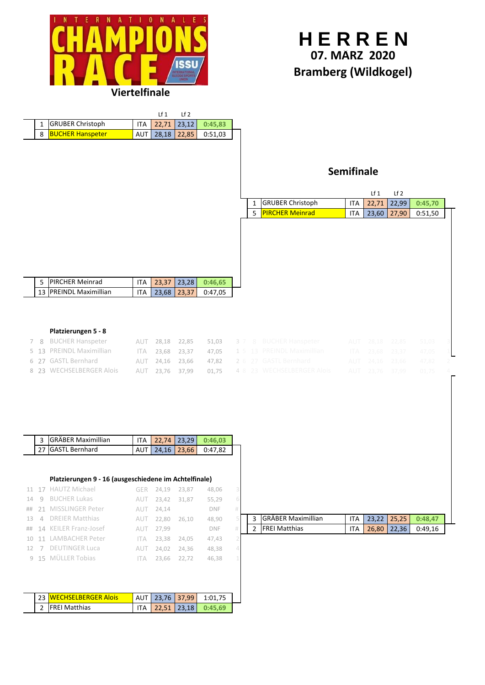



## **Platzierungen 5 - 8**

|  | 7 8 BUCHER Hanspeter     |  |  |  | <b>AUT 28,18 22,85 51,03 3 7 8 BUCHER Hanspeter</b>     |  | AUT 28,18 22,85 51,03 3 |  |
|--|--------------------------|--|--|--|---------------------------------------------------------|--|-------------------------|--|
|  | 5 13 PREINDL Maximillian |  |  |  | ITA 23,68 23,37 47,05 1 5 13 PREINDL Maximillian        |  | ITA 23,68 23,37 47,05 1 |  |
|  | 6 27 GASTL Bernhard      |  |  |  | AUT 24,16 23,66 47,82 2 6 27 GASTL Bernhard             |  | AUT 24,16 23,66 47,82 2 |  |
|  | 8 23 WECHSELBERGER Alois |  |  |  | <b>AUT 23,76 37,99 01,75 4 8 23 WECHSELBERGER Alois</b> |  | AUT 23,76 37,99 01,75 4 |  |

|  | 3 GRÄBER Maximillian |  | $ITA$   22.74   23.29   0:46.03 |  |
|--|----------------------|--|---------------------------------|--|
|  | 27 GASTL Bernhard    |  | AUT 24.16 23.66 0:47.82         |  |

## **Platzierungen 9 - 16 (ausgeschiedene im Achtelfinale)**

|  | <b>GRÄBER Maximillian</b> |  | $23.22$   25.25 |         |  |
|--|---------------------------|--|-----------------|---------|--|
|  | <b>FREI Matthias</b>      |  | 26.80   22.36   | 0:49.16 |  |

|  | <b>I 23 WECHSELBERGER Alois</b> |  | AUT 23.76 37.99 1:01.75         |  |
|--|---------------------------------|--|---------------------------------|--|
|  | 2 FREI Matthias                 |  | $ITA$   22.51   23.18   0:45.69 |  |